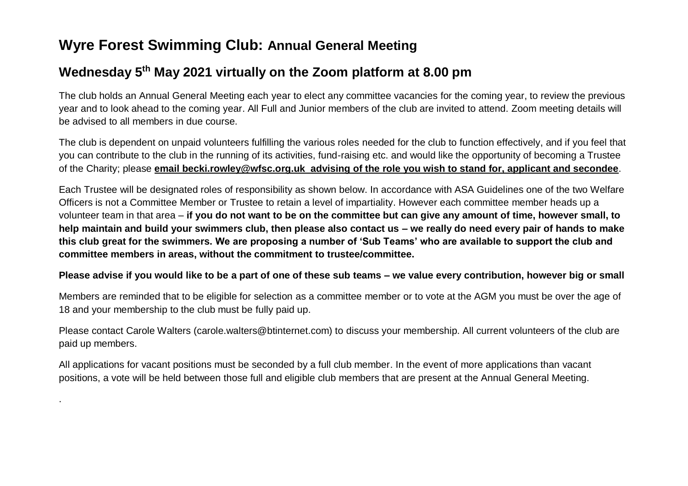## **Wyre Forest Swimming Club: Annual General Meeting**

.

## **Wednesday 5 th May 2021 virtually on the Zoom platform at 8.00 pm**

The club holds an Annual General Meeting each year to elect any committee vacancies for the coming year, to review the previous year and to look ahead to the coming year. All Full and Junior members of the club are invited to attend. Zoom meeting details will be advised to all members in due course.

The club is dependent on unpaid volunteers fulfilling the various roles needed for the club to function effectively, and if you feel that you can contribute to the club in the running of its activities, fund-raising etc. and would like the opportunity of becoming a Trustee of the Charity; please **email becki.rowley@wfsc.org.uk advising of the role you wish to stand for, applicant and secondee**.

Each Trustee will be designated roles of responsibility as shown below. In accordance with ASA Guidelines one of the two Welfare Officers is not a Committee Member or Trustee to retain a level of impartiality. However each committee member heads up a volunteer team in that area – **if you do not want to be on the committee but can give any amount of time, however small, to help maintain and build your swimmers club, then please also contact us – we really do need every pair of hands to make this club great for the swimmers. We are proposing a number of 'Sub Teams' who are available to support the club and committee members in areas, without the commitment to trustee/committee.**

## **Please advise if you would like to be a part of one of these sub teams – we value every contribution, however big or small**

Members are reminded that to be eligible for selection as a committee member or to vote at the AGM you must be over the age of 18 and your membership to the club must be fully paid up.

Please contact Carole Walters (carole.walters@btinternet.com) to discuss your membership. All current volunteers of the club are paid up members.

All applications for vacant positions must be seconded by a full club member. In the event of more applications than vacant positions, a vote will be held between those full and eligible club members that are present at the Annual General Meeting.